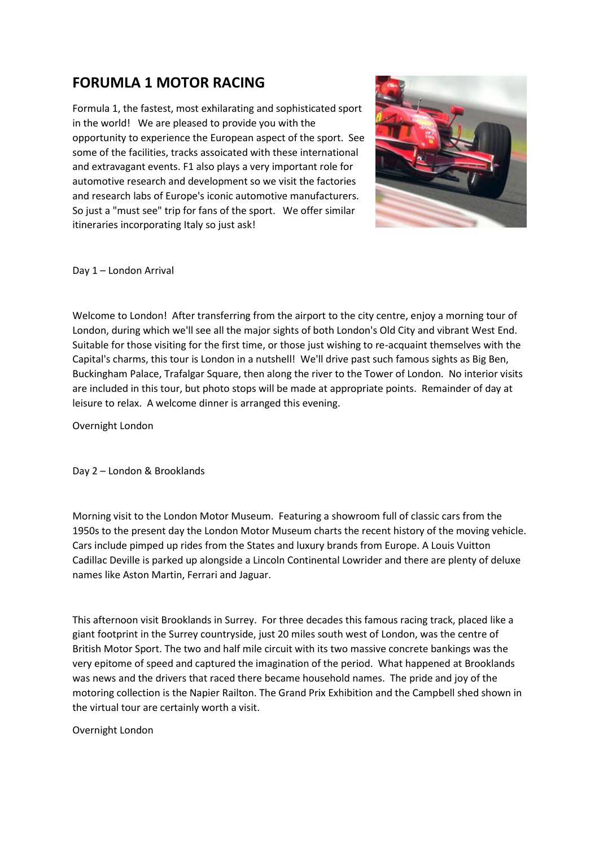## **FORUMLA 1 MOTOR RACING**

Formula 1, the fastest, most exhilarating and sophisticated sport in the world! We are pleased to provide you with the opportunity to experience the European aspect of the sport. See some of the facilities, tracks assoicated with these international and extravagant events. F1 also plays a very important role for automotive research and development so we visit the factories and research labs of Europe's iconic automotive manufacturers. So just a "must see" trip for fans of the sport. We offer similar itineraries incorporating Italy so just ask!



Day 1 – London Arrival

Welcome to London! After transferring from the airport to the city centre, enjoy a morning tour of London, during which we'll see all the major sights of both London's Old City and vibrant West End. Suitable for those visiting for the first time, or those just wishing to re-acquaint themselves with the Capital's charms, this tour is London in a nutshell! We'll drive past such famous sights as Big Ben, Buckingham Palace, Trafalgar Square, then along the river to the Tower of London. No interior visits are included in this tour, but photo stops will be made at appropriate points. Remainder of day at leisure to relax. A welcome dinner is arranged this evening.

Overnight London

Day 2 – London & Brooklands

Morning visit to the London Motor Museum. Featuring a showroom full of classic cars from the 1950s to the present day the London Motor Museum charts the recent history of the moving vehicle. Cars include pimped up rides from the States and luxury brands from Europe. A Louis Vuitton Cadillac Deville is parked up alongside a Lincoln Continental Lowrider and there are plenty of deluxe names like Aston Martin, Ferrari and Jaguar.

This afternoon visit Brooklands in Surrey. For three decades this famous racing track, placed like a giant footprint in the Surrey countryside, just 20 miles south west of London, was the centre of British Motor Sport. The two and half mile circuit with its two massive concrete bankings was the very epitome of speed and captured the imagination of the period. What happened at Brooklands was news and the drivers that raced there became household names. The pride and joy of the motoring collection is the Napier Railton. The Grand Prix Exhibition and the Campbell shed shown in the virtual tour are certainly worth a visit.

Overnight London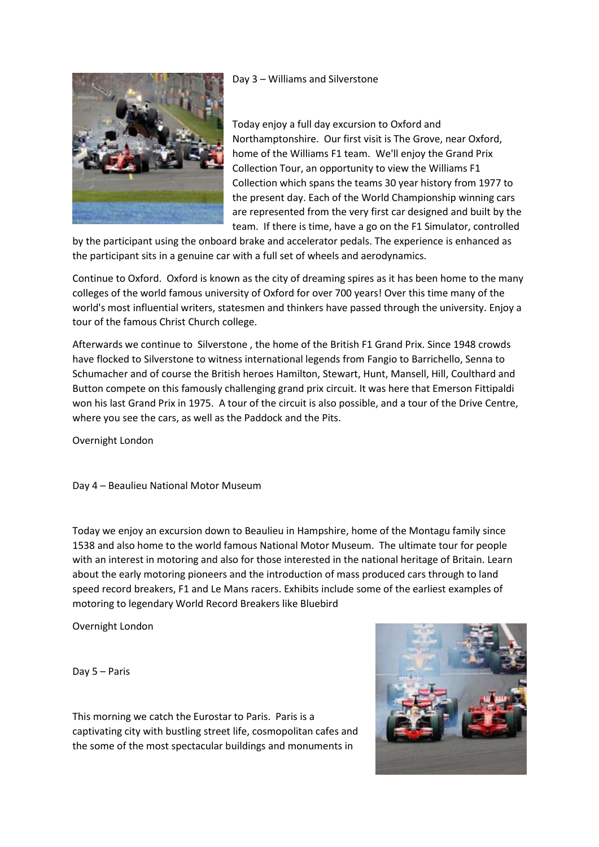

Day 3 – Williams and Silverstone

Today enjoy a full day excursion to Oxford and Northamptonshire. Our first visit is The Grove, near Oxford, home of the Williams F1 team. We'll enjoy the Grand Prix Collection Tour, an opportunity to view the Williams F1 Collection which spans the teams 30 year history from 1977 to the present day. Each of the World Championship winning cars are represented from the very first car designed and built by the team. If there is time, have a go on the F1 Simulator, controlled

by the participant using the onboard brake and accelerator pedals. The experience is enhanced as the participant sits in a genuine car with a full set of wheels and aerodynamics.

Continue to Oxford. Oxford is known as the city of dreaming spires as it has been home to the many colleges of the world famous university of Oxford for over 700 years! Over this time many of the world's most influential writers, statesmen and thinkers have passed through the university. Enjoy a tour of the famous Christ Church college.

Afterwards we continue to Silverstone , the home of the British F1 Grand Prix. Since 1948 crowds have flocked to Silverstone to witness international legends from Fangio to Barrichello, Senna to Schumacher and of course the British heroes Hamilton, Stewart, Hunt, Mansell, Hill, Coulthard and Button compete on this famously challenging grand prix circuit. It was here that Emerson Fittipaldi won his last Grand Prix in 1975. A tour of the circuit is also possible, and a tour of the Drive Centre, where you see the cars, as well as the Paddock and the Pits.

Overnight London

Day 4 – Beaulieu National Motor Museum

Today we enjoy an excursion down to Beaulieu in Hampshire, home of the Montagu family since 1538 and also home to the world famous National Motor Museum. The ultimate tour for people with an interest in motoring and also for those interested in the national heritage of Britain. Learn about the early motoring pioneers and the introduction of mass produced cars through to land speed record breakers, F1 and Le Mans racers. Exhibits include some of the earliest examples of motoring to legendary World Record Breakers like Bluebird

Overnight London

Day 5 – Paris

This morning we catch the Eurostar to Paris. Paris is a captivating city with bustling street life, cosmopolitan cafes and the some of the most spectacular buildings and monuments in

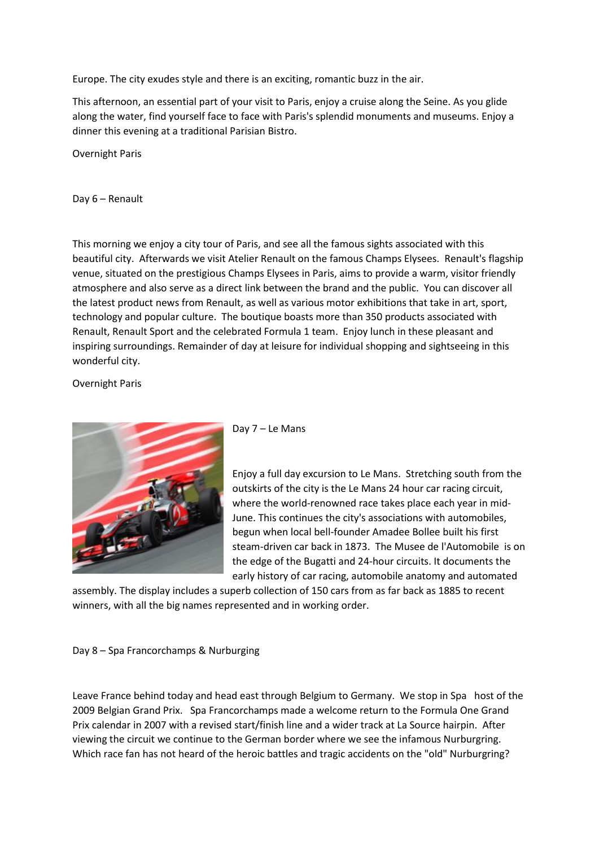Europe. The city exudes style and there is an exciting, romantic buzz in the air.

This afternoon, an essential part of your visit to Paris, enjoy a cruise along the Seine. As you glide along the water, find yourself face to face with Paris's splendid monuments and museums. Enjoy a dinner this evening at a traditional Parisian Bistro.

Overnight Paris

Day 6 – Renault

This morning we enjoy a city tour of Paris, and see all the famous sights associated with this beautiful city. Afterwards we visit Atelier Renault on the famous Champs Elysees. Renault's flagship venue, situated on the prestigious Champs Elysees in Paris, aims to provide a warm, visitor friendly atmosphere and also serve as a direct link between the brand and the public. You can discover all the latest product news from Renault, as well as various motor exhibitions that take in art, sport, technology and popular culture. The boutique boasts more than 350 products associated with Renault, Renault Sport and the celebrated Formula 1 team. Enjoy lunch in these pleasant and inspiring surroundings. Remainder of day at leisure for individual shopping and sightseeing in this wonderful city.

Overnight Paris



Day 7 – Le Mans

Enjoy a full day excursion to Le Mans. Stretching south from the outskirts of the city is the Le Mans 24 hour car racing circuit, where the world-renowned race takes place each year in mid-June. This continues the city's associations with automobiles, begun when local bell-founder Amadee Bollee built his first steam-driven car back in 1873. The Musee de l'Automobile is on the edge of the Bugatti and 24-hour circuits. It documents the early history of car racing, automobile anatomy and automated

assembly. The display includes a superb collection of 150 cars from as far back as 1885 to recent winners, with all the big names represented and in working order.

Day 8 – Spa Francorchamps & Nurburging

Leave France behind today and head east through Belgium to Germany. We stop in Spa host of the 2009 Belgian Grand Prix. Spa Francorchamps made a welcome return to the Formula One Grand Prix calendar in 2007 with a revised start/finish line and a wider track at La Source hairpin. After viewing the circuit we continue to the German border where we see the infamous Nurburgring. Which race fan has not heard of the heroic battles and tragic accidents on the "old" Nurburgring?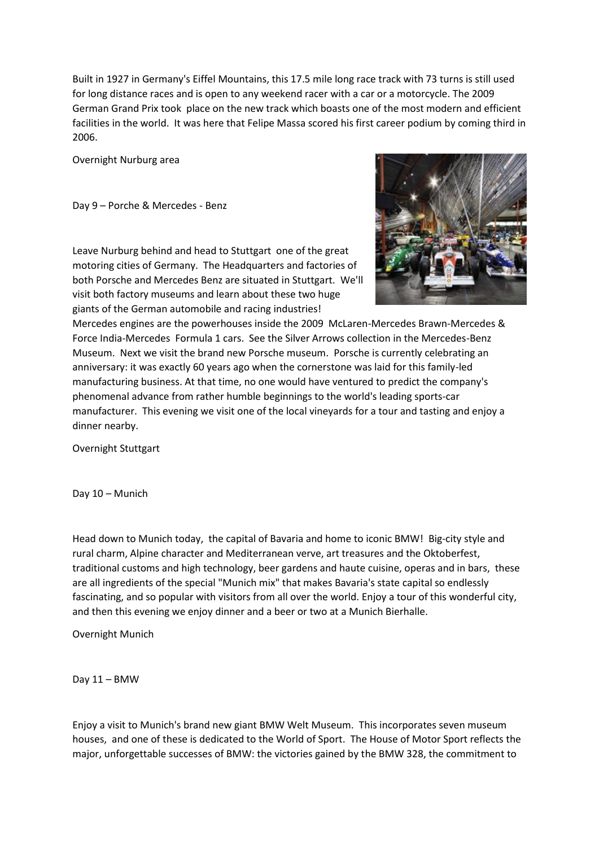Built in 1927 in Germany's Eiffel Mountains, this 17.5 mile long race track with 73 turns is still used for long distance races and is open to any weekend racer with a car or a motorcycle. The 2009 German Grand Prix took place on the new track which boasts one of the most modern and efficient facilities in the world. It was here that Felipe Massa scored his first career podium by coming third in 2006.

Overnight Nurburg area

Day 9 – Porche & Mercedes - Benz



Leave Nurburg behind and head to Stuttgart one of the great motoring cities of Germany. The Headquarters and factories of both Porsche and Mercedes Benz are situated in Stuttgart. We'll visit both factory museums and learn about these two huge giants of the German automobile and racing industries!

Mercedes engines are the powerhouses inside the 2009 McLaren-Mercedes Brawn-Mercedes & Force India-Mercedes Formula 1 cars. See the Silver Arrows collection in the Mercedes-Benz Museum. Next we visit the brand new Porsche museum. Porsche is currently celebrating an anniversary: it was exactly 60 years ago when the cornerstone was laid for this family-led manufacturing business. At that time, no one would have ventured to predict the company's phenomenal advance from rather humble beginnings to the world's leading sports-car manufacturer. This evening we visit one of the local vineyards for a tour and tasting and enjoy a dinner nearby.

Overnight Stuttgart

Day 10 – Munich

Head down to Munich today, the capital of Bavaria and home to iconic BMW! Big-city style and rural charm, Alpine character and Mediterranean verve, art treasures and the Oktoberfest, traditional customs and high technology, beer gardens and haute cuisine, operas and in bars, these are all ingredients of the special "Munich mix" that makes Bavaria's state capital so endlessly fascinating, and so popular with visitors from all over the world. Enjoy a tour of this wonderful city, and then this evening we enjoy dinner and a beer or two at a Munich Bierhalle.

Overnight Munich

Day 11 – BMW

Enjoy a visit to Munich's brand new giant BMW Welt Museum. This incorporates seven museum houses, and one of these is dedicated to the World of Sport. The House of Motor Sport reflects the major, unforgettable successes of BMW: the victories gained by the BMW 328, the commitment to